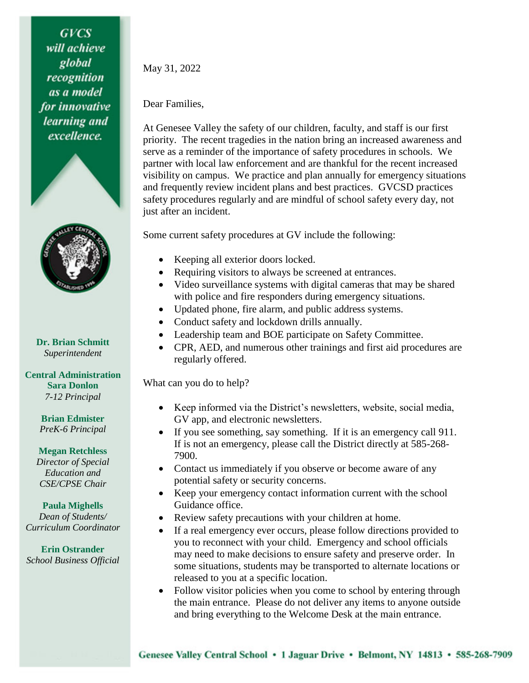**GVCS** will achieve global recognition as a model for innovative learning and excellence.





**Dr. Brian Schmitt** *Superintendent*

## **Central Administration Sara Donlon** *7-12 Principal*

**Brian Edmister** *PreK-6 Principal*

## **Megan Retchless** *Director of Special*

*Education and CSE/CPSE Chair*

## **Paula Mighells** *Dean of Students/ Curriculum Coordinator*

**Erin Ostrander** *School Business Official* May 31, 2022

## Dear Families,

At Genesee Valley the safety of our children, faculty, and staff is our first priority. The recent tragedies in the nation bring an increased awareness and serve as a reminder of the importance of safety procedures in schools. We partner with local law enforcement and are thankful for the recent increased visibility on campus. We practice and plan annually for emergency situations and frequently review incident plans and best practices. GVCSD practices safety procedures regularly and are mindful of school safety every day, not just after an incident.

Some current safety procedures at GV include the following:

- Keeping all exterior doors locked.
- Requiring visitors to always be screened at entrances.
- Video surveillance systems with digital cameras that may be shared with police and fire responders during emergency situations.
- Updated phone, fire alarm, and public address systems.
- Conduct safety and lockdown drills annually.
- Leadership team and BOE participate on Safety Committee.
- CPR, AED, and numerous other trainings and first aid procedures are regularly offered.

What can you do to help?

- Keep informed via the District's newsletters, website, social media, GV app, and electronic newsletters.
- If you see something, say something. If it is an emergency call 911. If is not an emergency, please call the District directly at 585-268- 7900.
- Contact us immediately if you observe or become aware of any potential safety or security concerns.
- Keep your emergency contact information current with the school Guidance office.
- Review safety precautions with your children at home.
- If a real emergency ever occurs, please follow directions provided to you to reconnect with your child. Emergency and school officials may need to make decisions to ensure safety and preserve order. In some situations, students may be transported to alternate locations or released to you at a specific location.
- Follow visitor policies when you come to school by entering through the main entrance. Please do not deliver any items to anyone outside and bring everything to the Welcome Desk at the main entrance.